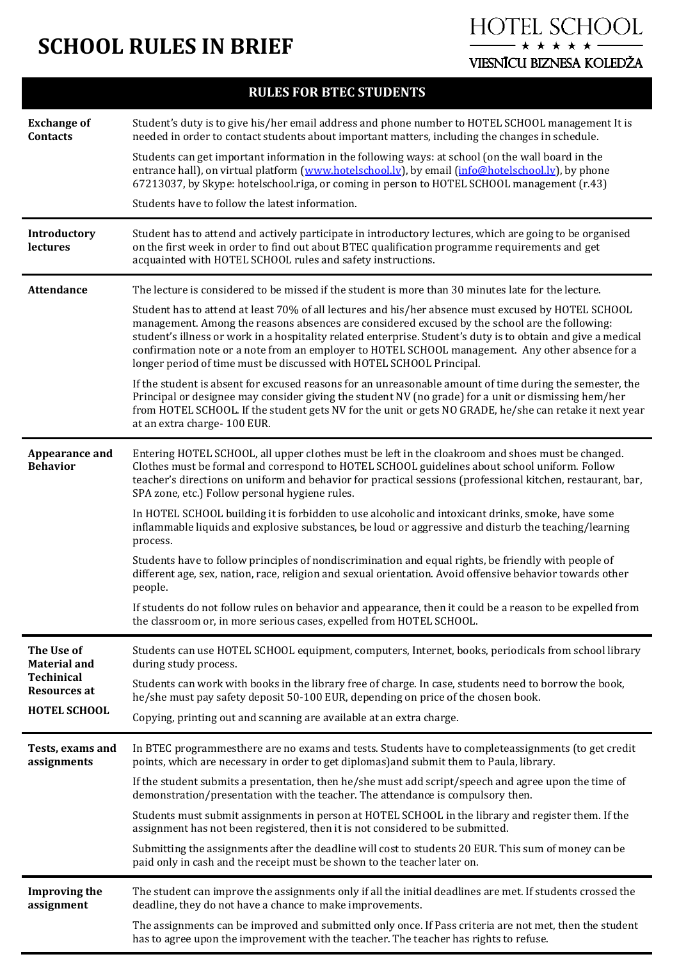## **SCHOOL RULES IN BRIEF**



| <b>RULES FOR BTEC STUDENTS</b>           |                                                                                                                                                                                                                                                                                                                                                                                                                                                                                                    |
|------------------------------------------|----------------------------------------------------------------------------------------------------------------------------------------------------------------------------------------------------------------------------------------------------------------------------------------------------------------------------------------------------------------------------------------------------------------------------------------------------------------------------------------------------|
| <b>Exchange of</b><br><b>Contacts</b>    | Student's duty is to give his/her email address and phone number to HOTEL SCHOOL management It is<br>needed in order to contact students about important matters, including the changes in schedule.                                                                                                                                                                                                                                                                                               |
|                                          | Students can get important information in the following ways: at school (on the wall board in the<br>entrance hall), on virtual platform (www.hotelschool.ly), by email (info@hotelschool.ly), by phone<br>67213037, by Skype: hotelschool.riga, or coming in person to HOTEL SCHOOL management (r.43)                                                                                                                                                                                             |
|                                          | Students have to follow the latest information.                                                                                                                                                                                                                                                                                                                                                                                                                                                    |
| Introductory<br>lectures                 | Student has to attend and actively participate in introductory lectures, which are going to be organised<br>on the first week in order to find out about BTEC qualification programme requirements and get<br>acquainted with HOTEL SCHOOL rules and safety instructions.                                                                                                                                                                                                                          |
| <b>Attendance</b>                        | The lecture is considered to be missed if the student is more than 30 minutes late for the lecture.                                                                                                                                                                                                                                                                                                                                                                                                |
|                                          | Student has to attend at least 70% of all lectures and his/her absence must excused by HOTEL SCHOOL<br>management. Among the reasons absences are considered excused by the school are the following:<br>student's illness or work in a hospitality related enterprise. Student's duty is to obtain and give a medical<br>confirmation note or a note from an employer to HOTEL SCHOOL management. Any other absence for a<br>longer period of time must be discussed with HOTEL SCHOOL Principal. |
|                                          | If the student is absent for excused reasons for an unreasonable amount of time during the semester, the<br>Principal or designee may consider giving the student NV (no grade) for a unit or dismissing hem/her<br>from HOTEL SCHOOL. If the student gets NV for the unit or gets NO GRADE, he/she can retake it next year<br>at an extra charge-100 EUR.                                                                                                                                         |
| Appearance and<br><b>Behavior</b>        | Entering HOTEL SCHOOL, all upper clothes must be left in the cloakroom and shoes must be changed.<br>Clothes must be formal and correspond to HOTEL SCHOOL guidelines about school uniform. Follow<br>teacher's directions on uniform and behavior for practical sessions (professional kitchen, restaurant, bar,<br>SPA zone, etc.) Follow personal hygiene rules.                                                                                                                                |
|                                          | In HOTEL SCHOOL building it is forbidden to use alcoholic and intoxicant drinks, smoke, have some<br>inflammable liquids and explosive substances, be loud or aggressive and disturb the teaching/learning<br>process.                                                                                                                                                                                                                                                                             |
|                                          | Students have to follow principles of nondiscrimination and equal rights, be friendly with people of<br>different age, sex, nation, race, religion and sexual orientation. Avoid offensive behavior towards other<br>people.                                                                                                                                                                                                                                                                       |
|                                          | If students do not follow rules on behavior and appearance, then it could be a reason to be expelled from<br>the classroom or, in more serious cases, expelled from HOTEL SCHOOL.                                                                                                                                                                                                                                                                                                                  |
| The Use of<br><b>Material and</b>        | Students can use HOTEL SCHOOL equipment, computers, Internet, books, periodicals from school library<br>during study process.                                                                                                                                                                                                                                                                                                                                                                      |
| <b>Techinical</b><br><b>Resources at</b> | Students can work with books in the library free of charge. In case, students need to borrow the book,<br>he/she must pay safety deposit 50-100 EUR, depending on price of the chosen book.                                                                                                                                                                                                                                                                                                        |
| <b>HOTEL SCHOOL</b>                      | Copying, printing out and scanning are available at an extra charge.                                                                                                                                                                                                                                                                                                                                                                                                                               |
| Tests, exams and<br>assignments          | In BTEC programmesthere are no exams and tests. Students have to completeassignments (to get credit<br>points, which are necessary in order to get diplomas) and submit them to Paula, library.                                                                                                                                                                                                                                                                                                    |
|                                          | If the student submits a presentation, then he/she must add script/speech and agree upon the time of<br>demonstration/presentation with the teacher. The attendance is compulsory then.                                                                                                                                                                                                                                                                                                            |
|                                          | Students must submit assignments in person at HOTEL SCHOOL in the library and register them. If the<br>assignment has not been registered, then it is not considered to be submitted.                                                                                                                                                                                                                                                                                                              |
|                                          | Submitting the assignments after the deadline will cost to students 20 EUR. This sum of money can be<br>paid only in cash and the receipt must be shown to the teacher later on.                                                                                                                                                                                                                                                                                                                   |
| <b>Improving the</b><br>assignment       | The student can improve the assignments only if all the initial deadlines are met. If students crossed the<br>deadline, they do not have a chance to make improvements.                                                                                                                                                                                                                                                                                                                            |
|                                          | The assignments can be improved and submitted only once. If Pass criteria are not met, then the student<br>has to agree upon the improvement with the teacher. The teacher has rights to refuse.                                                                                                                                                                                                                                                                                                   |